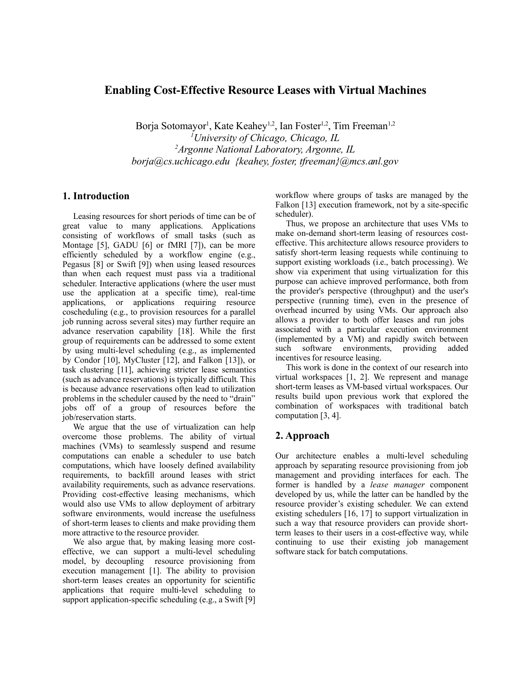## **Enabling Cost-Effective Resource Leases with Virtual Machines**

Borja Sotomayor<sup>1</sup>, Kate Keahey<sup>1,2</sup>, Ian Foster<sup>1,2</sup>, Tim Freeman<sup>1,2</sup> *<sup>1</sup>University of Chicago, Chicago, IL <sup>2</sup>Argonne National Laboratory, Argonne, IL borja@cs.uchicago.edu {keahey, foster, tfreeman}@mcs.anl.gov*

### **1. Introduction**

Leasing resources for short periods of time can be of great value to many applications. Applications consisting of workflows of small tasks (such as Montage [5], GADU [6] or fMRI [7]), can be more efficiently scheduled by a workflow engine (e.g., Pegasus [8] or Swift [9]) when using leased resources than when each request must pass via a traditional scheduler. Interactive applications (where the user must use the application at a specific time), real-time applications, or applications requiring resource coscheduling (e.g., to provision resources for a parallel job running across several sites) may further require an advance reservation capability [18]. While the first group of requirements can be addressed to some extent by using multi-level scheduling (e.g., as implemented by Condor [10], MyCluster [12], and Falkon [13]), or task clustering [11], achieving stricter lease semantics (such as advance reservations) is typically difficult. This is because advance reservations often lead to utilization problems in the scheduler caused by the need to "drain" jobs off of a group of resources before the job/reservation starts.

We argue that the use of virtualization can help overcome those problems. The ability of virtual machines (VMs) to seamlessly suspend and resume computations can enable a scheduler to use batch computations, which have loosely defined availability requirements, to backfill around leases with strict availability requirements, such as advance reservations. Providing cost-effective leasing mechanisms, which would also use VMs to allow deployment of arbitrary software environments, would increase the usefulness of short-term leases to clients and make providing them more attractive to the resource provider.

We also argue that, by making leasing more costeffective, we can support a multi-level scheduling model, by decoupling resource provisioning from execution management [1]. The ability to provision short-term leases creates an opportunity for scientific applications that require multi-level scheduling to support application-specific scheduling (e.g., a Swift [9]

workflow where groups of tasks are managed by the Falkon [13] execution framework, not by a site-specific scheduler).

Thus, we propose an architecture that uses VMs to make on-demand short-term leasing of resources costeffective. This architecture allows resource providers to satisfy short-term leasing requests while continuing to support existing workloads (i.e., batch processing). We show via experiment that using virtualization for this purpose can achieve improved performance, both from the provider's perspective (throughput) and the user's perspective (running time), even in the presence of overhead incurred by using VMs. Our approach also allows a provider to both offer leases and run jobs associated with a particular execution environment (implemented by a VM) and rapidly switch between such software environments, providing added incentives for resource leasing.

This work is done in the context of our research into virtual workspaces [1, 2]. We represent and manage short-term leases as VM-based virtual workspaces. Our results build upon previous work that explored the combination of workspaces with traditional batch computation [3, 4].

# **2. Approach**

Our architecture enables a multi-level scheduling approach by separating resource provisioning from job management and providing interfaces for each. The former is handled by a *lease manager* component developed by us, while the latter can be handled by the resource provider's existing scheduler. We can extend existing schedulers [16, 17] to support virtualization in such a way that resource providers can provide shortterm leases to their users in a cost-effective way, while continuing to use their existing job management software stack for batch computations.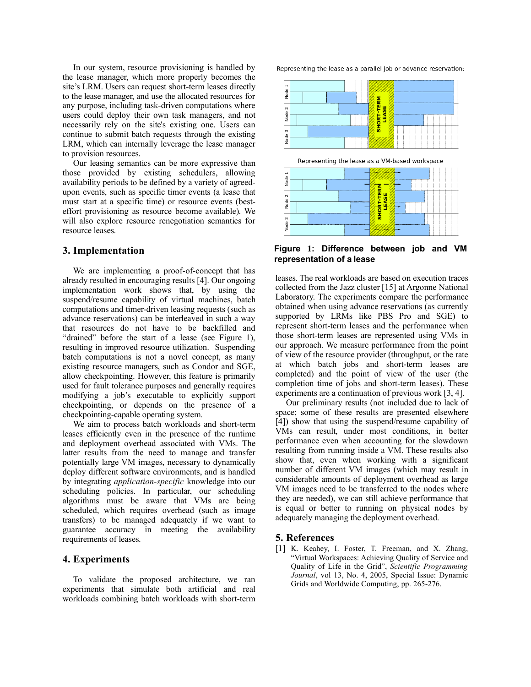In our system, resource provisioning is handled by the lease manager, which more properly becomes the site's LRM. Users can request short-term leases directly to the lease manager, and use the allocated resources for any purpose, including task-driven computations where users could deploy their own task managers, and not necessarily rely on the site's existing one. Users can continue to submit batch requests through the existing LRM, which can internally leverage the lease manager to provision resources.

Our leasing semantics can be more expressive than those provided by existing schedulers, allowing availability periods to be defined by a variety of agreedupon events, such as specific timer events (a lease that must start at a specific time) or resource events (besteffort provisioning as resource become available). We will also explore resource renegotiation semantics for resource leases.

### **3. Implementation**

We are implementing a proof-of-concept that has already resulted in encouraging results [4]. Our ongoing implementation work shows that, by using the suspend/resume capability of virtual machines, batch computations and timer-driven leasing requests (such as advance reservations) can be interleaved in such a way that resources do not have to be backfilled and "drained" before the start of a lease (see Figure 1), resulting in improved resource utilization. Suspending batch computations is not a novel concept, as many existing resource managers, such as Condor and SGE, allow checkpointing. However, this feature is primarily used for fault tolerance purposes and generally requires modifying a job's executable to explicitly support checkpointing, or depends on the presence of a checkpointing-capable operating system.

We aim to process batch workloads and short-term leases efficiently even in the presence of the runtime and deployment overhead associated with VMs. The latter results from the need to manage and transfer potentially large VM images, necessary to dynamically deploy different software environments, and is handled by integrating *application-specific* knowledge into our scheduling policies. In particular, our scheduling algorithms must be aware that VMs are being scheduled, which requires overhead (such as image transfers) to be managed adequately if we want to guarantee accuracy in meeting the availability requirements of leases.

#### **4. Experiments**

To validate the proposed architecture, we ran experiments that simulate both artificial and real workloads combining batch workloads with short-term Representing the lease as a parallel job or advance reservation:



**Figure** 1**: Difference between job and VM representation of a lease**

leases. The real workloads are based on execution traces collected from the Jazz cluster [15] at Argonne National Laboratory. The experiments compare the performance obtained when using advance reservations (as currently supported by LRMs like PBS Pro and SGE) to represent short-term leases and the performance when those short-term leases are represented using VMs in our approach. We measure performance from the point of view of the resource provider (throughput, or the rate at which batch jobs and short-term leases are completed) and the point of view of the user (the completion time of jobs and short-term leases). These experiments are a continuation of previous work [3, 4].

Our preliminary results (not included due to lack of space; some of these results are presented elsewhere [4]) show that using the suspend/resume capability of VMs can result, under most conditions, in better performance even when accounting for the slowdown resulting from running inside a VM. These results also show that, even when working with a significant number of different VM images (which may result in considerable amounts of deployment overhead as large VM images need to be transferred to the nodes where they are needed), we can still achieve performance that is equal or better to running on physical nodes by adequately managing the deployment overhead.

#### **5. References**

[1] K. Keahey, I. Foster, T. Freeman, and X. Zhang, "Virtual Workspaces: Achieving Quality of Service and Quality of Life in the Grid", *Scientific Programming Journal*, vol 13, No. 4, 2005, Special Issue: Dynamic Grids and Worldwide Computing, pp. 265-276.